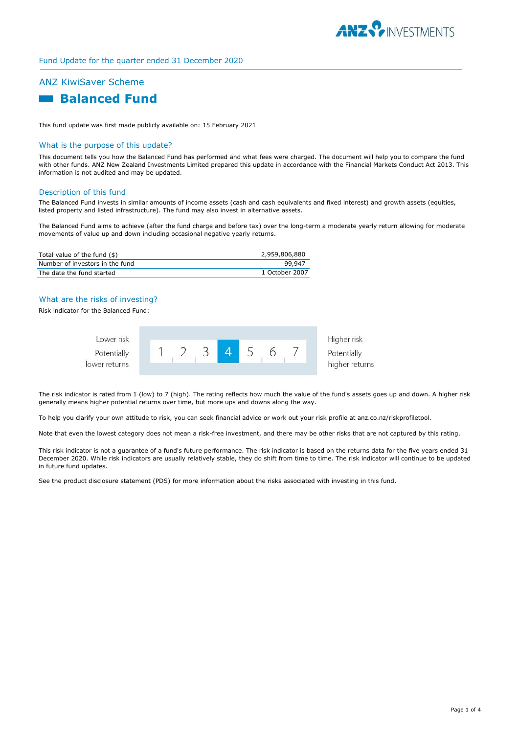

# Fund Update for the quarter ended 31 December 2020

# ANZ KiwiSaver Scheme

# **Balanced Fund**

This fund update was first made publicly available on: 15 February 2021

# What is the purpose of this update?

This document tells you how the Balanced Fund has performed and what fees were charged. The document will help you to compare the fund with other funds. ANZ New Zealand Investments Limited prepared this update in accordance with the Financial Markets Conduct Act 2013. This information is not audited and may be updated.

#### Description of this fund

The Balanced Fund invests in similar amounts of income assets (cash and cash equivalents and fixed interest) and growth assets (equities, listed property and listed infrastructure). The fund may also invest in alternative assets.

The Balanced Fund aims to achieve (after the fund charge and before tax) over the long-term a moderate yearly return allowing for moderate movements of value up and down including occasional negative yearly returns.

| Total value of the fund (\$)    | 2,959,806,880  |
|---------------------------------|----------------|
| Number of investors in the fund | 99.947         |
| The date the fund started       | 1 October 2007 |

# What are the risks of investing?

Risk indicator for the Balanced Fund:

| Lower risk    |  |  |  | Higher risk                   |
|---------------|--|--|--|-------------------------------|
| Potentially   |  |  |  | Potentially<br>higher returns |
| lower returns |  |  |  |                               |

The risk indicator is rated from 1 (low) to 7 (high). The rating reflects how much the value of the fund's assets goes up and down. A higher risk generally means higher potential returns over time, but more ups and downs along the way.

To help you clarify your own attitude to risk, you can seek financial advice or work out your risk profile at anz.co.nz/riskprofiletool.

Note that even the lowest category does not mean a risk-free investment, and there may be other risks that are not captured by this rating.

This risk indicator is not a guarantee of a fund's future performance. The risk indicator is based on the returns data for the five years ended 31 December 2020. While risk indicators are usually relatively stable, they do shift from time to time. The risk indicator will continue to be updated in future fund updates.

See the product disclosure statement (PDS) for more information about the risks associated with investing in this fund.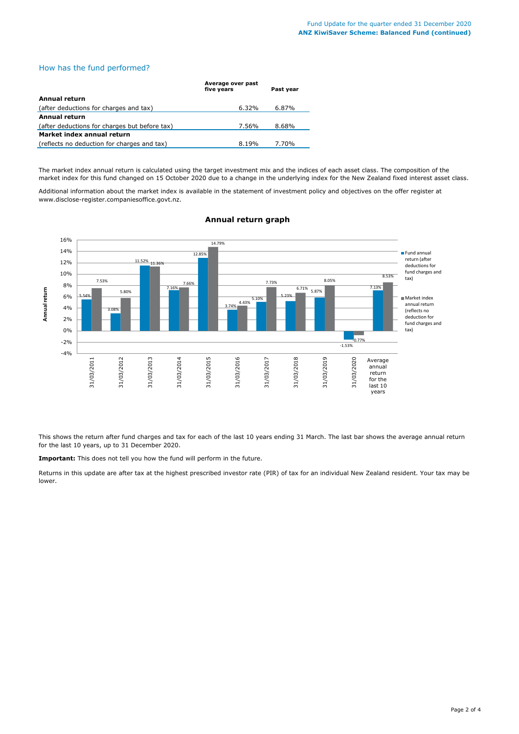# How has the fund performed?

|                                               | Average over past<br>five years | Past year |
|-----------------------------------------------|---------------------------------|-----------|
| Annual return                                 |                                 |           |
| (after deductions for charges and tax)        | 6.32%                           | 6.87%     |
| Annual return                                 |                                 |           |
| (after deductions for charges but before tax) | 7.56%                           | 8.68%     |
| Market index annual return                    |                                 |           |
| (reflects no deduction for charges and tax)   | 8.19%                           | 7.70%     |

The market index annual return is calculated using the target investment mix and the indices of each asset class. The composition of the market index for this fund changed on 15 October 2020 due to a change in the underlying index for the New Zealand fixed interest asset class.

Additional information about the market index is available in the statement of investment policy and objectives on the offer register at www.disclose-register.companiesoffice.govt.nz.



# **Annual return graph**

This shows the return after fund charges and tax for each of the last 10 years ending 31 March. The last bar shows the average annual return for the last 10 years, up to 31 December 2020.

**Important:** This does not tell you how the fund will perform in the future.

Returns in this update are after tax at the highest prescribed investor rate (PIR) of tax for an individual New Zealand resident. Your tax may be lower.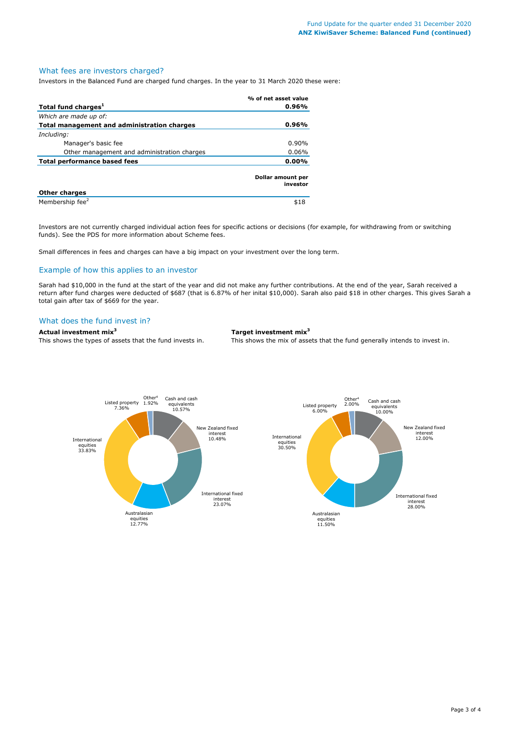### What fees are investors charged?

Investors in the Balanced Fund are charged fund charges. In the year to 31 March 2020 these were:

|                                             | % of net asset value          |
|---------------------------------------------|-------------------------------|
| Total fund charges <sup>1</sup>             | 0.96%                         |
| Which are made up of:                       |                               |
| Total management and administration charges | 0.96%                         |
| Including:                                  |                               |
| Manager's basic fee                         | $0.90\%$                      |
| Other management and administration charges | $0.06\%$                      |
| <b>Total performance based fees</b>         | 0.00%                         |
|                                             | Dollar amount per<br>investor |
| <b>Other charges</b>                        |                               |
| Membership fee <sup>2</sup>                 | \$18                          |

Investors are not currently charged individual action fees for specific actions or decisions (for example, for withdrawing from or switching funds). See the PDS for more information about Scheme fees.

Small differences in fees and charges can have a big impact on your investment over the long term.

# Example of how this applies to an investor

Sarah had \$10,000 in the fund at the start of the year and did not make any further contributions. At the end of the year, Sarah received a return after fund charges were deducted of \$687 (that is 6.87% of her inital \$10,000). Sarah also paid \$18 in other charges. This gives Sarah a total gain after tax of \$669 for the year.

#### What does the fund invest in?

**Actual investment mix<sup>3</sup> Target investment mix<sup>3</sup>**

This shows the types of assets that the fund invests in. This shows the mix of assets that the fund generally intends to invest in.